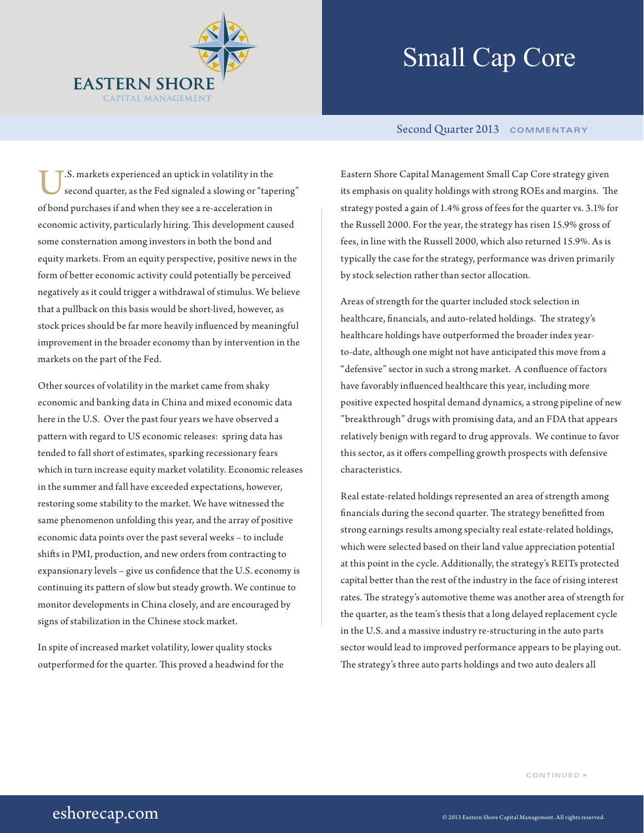

## Small Cap Core

## Second Quarter 2013 **COMMENTARY**

U.S. markets experienced an uptick in volatility in the second quarter, as the Fed signaled a slowing or "tapering" of bond purchases if and when they see a re-acceleration in economic activity, particularly hiring. This development caused some consternation among investors in both the bond and equity markets. From an equity perspective, positive news in the form of better economic activity could potentially be perceived negatively as it could trigger a withdrawal of stimulus. We believe that a pullback on this basis would be short-lived, however, as stock prices should be far more heavily influenced by meaningful improvement in the broader economy than by intervention in the markets on the part of the Fed.

Other sources of volatility in the market came from shaky economic and banking data in China and mixed economic data here in the U.S. Over the past four years we have observed a pattern with regard to US economic releases: spring data has tended to fall short of estimates, sparking recessionary fears which in turn increase equity market volatility. Economic releases in the summer and fall have exceeded expectations, however, restoring some stability to the market. We have witnessed the same phenomenon unfolding this year, and the array of positive economic data points over the past several weeks – to include shifts in PMI, production, and new orders from contracting to expansionary levels – give us confidence that the U.S. economy is continuing its pattern of slow but steady growth. We continue to monitor developments in China closely, and are encouraged by signs of stabilization in the Chinese stock market.

In spite of increased market volatility, lower quality stocks outperformed for the quarter. This proved a headwind for the Eastern Shore Capital Management Small Cap Core strategy given its emphasis on quality holdings with strong ROEs and margins. The strategy posted a gain of 1.4% gross of fees for the quarter vs. 3.1% for the Russell 2000. For the year, the strategy has risen 15.9% gross of fees, in line with the Russell 2000, which also returned 15.9%. As is typically the case for the strategy, performance was driven primarily by stock selection rather than sector allocation.

Areas of strength for the quarter included stock selection in healthcare, financials, and auto-related holdings. The strategy's healthcare holdings have outperformed the broader index yearto-date, although one might not have anticipated this move from a "defensive" sector in such a strong market. A confluence of factors have favorably influenced healthcare this year, including more positive expected hospital demand dynamics, a strong pipeline of new "breakthrough" drugs with promising data, and an FDA that appears relatively benign with regard to drug approvals. We continue to favor this sector, as it offers compelling growth prospects with defensive characteristics.

Real estate-related holdings represented an area of strength among financials during the second quarter. The strategy benefitted from strong earnings results among specialty real estate-related holdings, which were selected based on their land value appreciation potential at this point in the cycle. Additionally, the strategy's REITs protected capital better than the rest of the industry in the face of rising interest rates. The strategy's automotive theme was another area of strength for the quarter, as the team's thesis that a long delayed replacement cycle in the U.S. and a massive industry re-structuring in the auto parts sector would lead to improved performance appears to be playing out. The strategy's three auto parts holdings and two auto dealers all